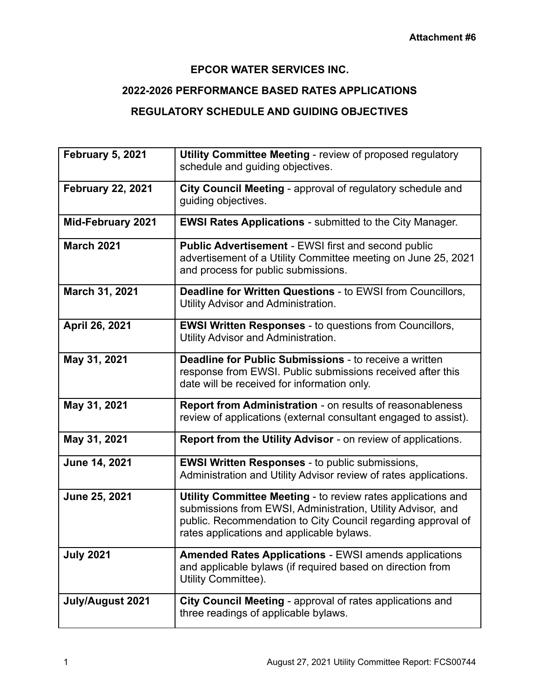## **EPCOR WATER SERVICES INC.**

## **2022-2026 PERFORMANCE BASED RATES APPLICATIONS**

## **REGULATORY SCHEDULE AND GUIDING OBJECTIVES**

| <b>February 5, 2021</b>  | <b>Utility Committee Meeting - review of proposed regulatory</b><br>schedule and guiding objectives.                                                                                                                                     |
|--------------------------|------------------------------------------------------------------------------------------------------------------------------------------------------------------------------------------------------------------------------------------|
| <b>February 22, 2021</b> | City Council Meeting - approval of regulatory schedule and<br>guiding objectives.                                                                                                                                                        |
| <b>Mid-February 2021</b> | <b>EWSI Rates Applications - submitted to the City Manager.</b>                                                                                                                                                                          |
| <b>March 2021</b>        | Public Advertisement - EWSI first and second public<br>advertisement of a Utility Committee meeting on June 25, 2021<br>and process for public submissions.                                                                              |
| March 31, 2021           | Deadline for Written Questions - to EWSI from Councillors,<br>Utility Advisor and Administration.                                                                                                                                        |
| April 26, 2021           | <b>EWSI Written Responses - to questions from Councillors,</b><br>Utility Advisor and Administration.                                                                                                                                    |
| May 31, 2021             | <b>Deadline for Public Submissions - to receive a written</b><br>response from EWSI. Public submissions received after this<br>date will be received for information only.                                                               |
| May 31, 2021             | Report from Administration - on results of reasonableness<br>review of applications (external consultant engaged to assist).                                                                                                             |
| May 31, 2021             | Report from the Utility Advisor - on review of applications.                                                                                                                                                                             |
| June 14, 2021            | <b>EWSI Written Responses - to public submissions,</b><br>Administration and Utility Advisor review of rates applications.                                                                                                               |
| June 25, 2021            | Utility Committee Meeting - to review rates applications and<br>submissions from EWSI, Administration, Utility Advisor, and<br>public. Recommendation to City Council regarding approval of<br>rates applications and applicable bylaws. |
| <b>July 2021</b>         | <b>Amended Rates Applications - EWSI amends applications</b><br>and applicable bylaws (if required based on direction from<br>Utility Committee).                                                                                        |
| July/August 2021         | City Council Meeting - approval of rates applications and<br>three readings of applicable bylaws.                                                                                                                                        |